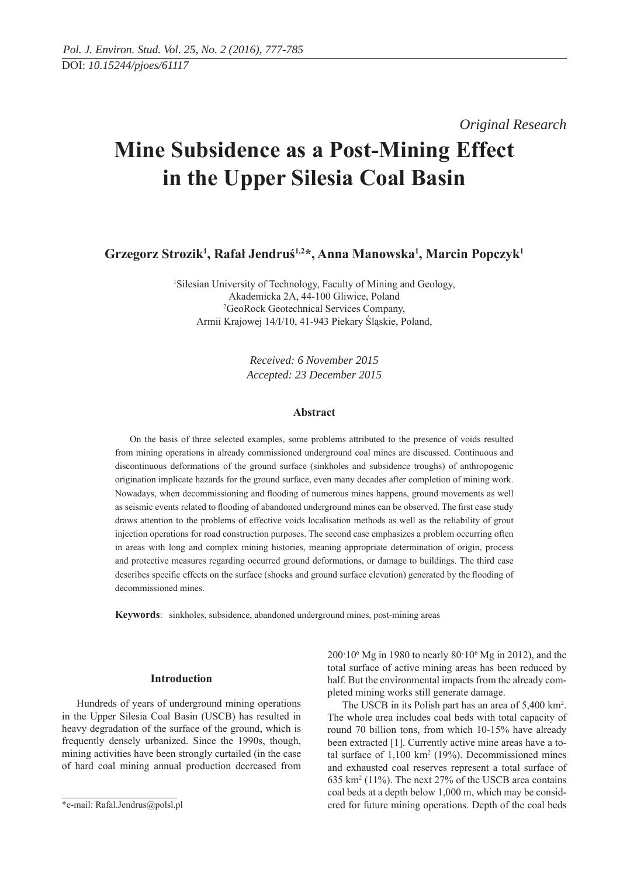*Original Research* 

# **Mine Subsidence as a Post-Mining Effect in the Upper Silesia Coal Basin**

**Grzegorz Strozik1 , Rafał Jendruś1,2\*, Anna Manowska1 , Marcin Popczyk1**

1 Silesian University of Technology, Faculty of Mining and Geology, Akademicka 2A, 44-100 Gliwice, Poland 2 GeoRock Geotechnical Services Company, Armii Krajowej 14/I/10, 41-943 Piekary Śląskie, Poland,

> *Received: 6 November 2015 Accepted: 23 December 2015*

#### **Abstract**

On the basis of three selected examples, some problems attributed to the presence of voids resulted from mining operations in already commissioned underground coal mines are discussed. Continuous and discontinuous deformations of the ground surface (sinkholes and subsidence troughs) of anthropogenic origination implicate hazards for the ground surface, even many decades after completion of mining work. Nowadays, when decommissioning and flooding of numerous mines happens, ground movements as well as seismic events related to flooding of abandoned underground mines can be observed. The first case study draws attention to the problems of effective voids localisation methods as well as the reliability of grout injection operations for road construction purposes. The second case emphasizes a problem occurring often in areas with long and complex mining histories, meaning appropriate determination of origin, process and protective measures regarding occurred ground deformations, or damage to buildings. The third case describes specific effects on the surface (shocks and ground surface elevation) generated by the flooding of decommissioned mines.

**Keywords**: sinkholes, subsidence, abandoned underground mines, post-mining areas

# **Introduction**

Hundreds of years of underground mining operations in the Upper Silesia Coal Basin (USCB) has resulted in heavy degradation of the surface of the ground, which is frequently densely urbanized. Since the 1990s, though, mining activities have been strongly curtailed (in the case of hard coal mining annual production decreased from

200·106 Mg in 1980 to nearly 80·106 Mg in 2012), and the total surface of active mining areas has been reduced by half. But the environmental impacts from the already completed mining works still generate damage.

The USCB in its Polish part has an area of 5,400 km<sup>2</sup>. The whole area includes coal beds with total capacity of round 70 billion tons, from which 10-15% have already been extracted [1]. Currently active mine areas have a total surface of  $1,100 \text{ km}^2$  (19%). Decommissioned mines and exhausted coal reserves represent a total surface of 635 km2 (11%). The next 27% of the USCB area contains coal beds at a depth below 1,000 m, which may be considered for future mining operations. Depth of the coal beds

<sup>\*</sup>e-mail: Rafal.Jendrus@polsl.pl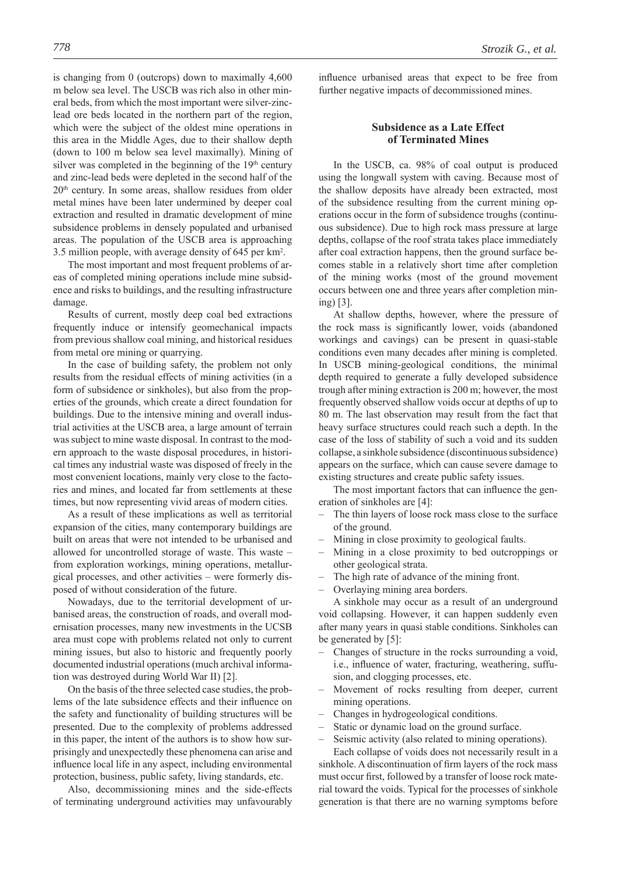is changing from 0 (outcrops) down to maximally 4,600 m below sea level. The USCB was rich also in other mineral beds, from which the most important were silver-zinclead ore beds located in the northern part of the region, which were the subject of the oldest mine operations in this area in the Middle Ages, due to their shallow depth (down to 100 m below sea level maximally). Mining of silver was completed in the beginning of the 19<sup>th</sup> century and zinc-lead beds were depleted in the second half of the 20th century. In some areas, shallow residues from older metal mines have been later undermined by deeper coal extraction and resulted in dramatic development of mine subsidence problems in densely populated and urbanised areas. The population of the USCB area is approaching 3.5 million people, with average density of 645 per km2 .

The most important and most frequent problems of areas of completed mining operations include mine subsidence and risks to buildings, and the resulting infrastructure damage.

Results of current, mostly deep coal bed extractions frequently induce or intensify geomechanical impacts from previous shallow coal mining, and historical residues from metal ore mining or quarrying.

In the case of building safety, the problem not only results from the residual effects of mining activities (in a form of subsidence or sinkholes), but also from the properties of the grounds, which create a direct foundation for buildings. Due to the intensive mining and overall industrial activities at the USCB area, a large amount of terrain was subject to mine waste disposal. In contrast to the modern approach to the waste disposal procedures, in historical times any industrial waste was disposed of freely in the most convenient locations, mainly very close to the factories and mines, and located far from settlements at these times, but now representing vivid areas of modern cities.

As a result of these implications as well as territorial expansion of the cities, many contemporary buildings are built on areas that were not intended to be urbanised and allowed for uncontrolled storage of waste. This waste – from exploration workings, mining operations, metallurgical processes, and other activities – were formerly disposed of without consideration of the future.

Nowadays, due to the territorial development of urbanised areas, the construction of roads, and overall modernisation processes, many new investments in the UCSB area must cope with problems related not only to current mining issues, but also to historic and frequently poorly documented industrial operations (much archival information was destroyed during World War II) [2].

On the basis of the three selected case studies, the problems of the late subsidence effects and their influence on the safety and functionality of building structures will be presented. Due to the complexity of problems addressed in this paper, the intent of the authors is to show how surprisingly and unexpectedly these phenomena can arise and influence local life in any aspect, including environmental protection, business, public safety, living standards, etc.

Also, decommissioning mines and the side-effects of terminating underground activities may unfavourably influence urbanised areas that expect to be free from further negative impacts of decommissioned mines.

# **Subsidence as a Late Effect of Terminated Mines**

In the USCB, ca. 98% of coal output is produced using the longwall system with caving. Because most of the shallow deposits have already been extracted, most of the subsidence resulting from the current mining operations occur in the form of subsidence troughs (continuous subsidence). Due to high rock mass pressure at large depths, collapse of the roof strata takes place immediately after coal extraction happens, then the ground surface becomes stable in a relatively short time after completion of the mining works (most of the ground movement occurs between one and three years after completion mining) [3].

At shallow depths, however, where the pressure of the rock mass is significantly lower, voids (abandoned workings and cavings) can be present in quasi-stable conditions even many decades after mining is completed. In USCB mining-geological conditions, the minimal depth required to generate a fully developed subsidence trough after mining extraction is 200 m; however, the most frequently observed shallow voids occur at depths of up to 80 m. The last observation may result from the fact that heavy surface structures could reach such a depth. In the case of the loss of stability of such a void and its sudden collapse, a sinkhole subsidence (discontinuous subsidence) appears on the surface, which can cause severe damage to existing structures and create public safety issues.

The most important factors that can influence the generation of sinkholes are [4]:

- The thin layers of loose rock mass close to the surface of the ground.
- Mining in close proximity to geological faults.
- Mining in a close proximity to bed outcroppings or other geological strata.
- The high rate of advance of the mining front.
- Overlaying mining area borders.

A sinkhole may occur as a result of an underground void collapsing. However, it can happen suddenly even after many years in quasi stable conditions. Sinkholes can be generated by [5]:

- Changes of structure in the rocks surrounding a void, i.e., influence of water, fracturing, weathering, suffusion, and clogging processes, etc.
- Movement of rocks resulting from deeper, current mining operations.
- Changes in hydrogeological conditions.
- Static or dynamic load on the ground surface.
- Seismic activity (also related to mining operations).

Each collapse of voids does not necessarily result in a sinkhole. A discontinuation of firm layers of the rock mass must occur first, followed by a transfer of loose rock material toward the voids. Typical for the processes of sinkhole generation is that there are no warning symptoms before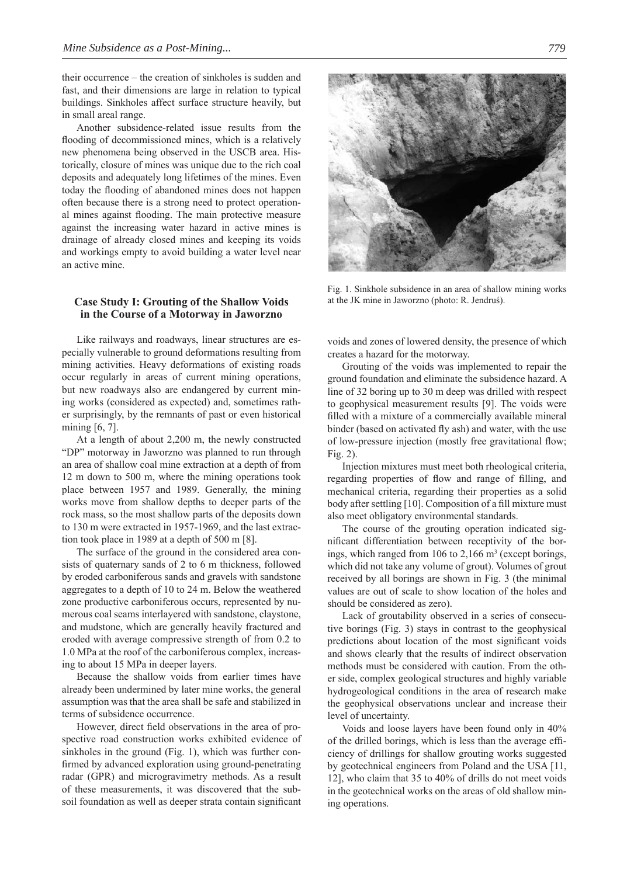their occurrence – the creation of sinkholes is sudden and fast, and their dimensions are large in relation to typical buildings. Sinkholes affect surface structure heavily, but in small areal range.

Another subsidence-related issue results from the flooding of decommissioned mines, which is a relatively new phenomena being observed in the USCB area. Historically, closure of mines was unique due to the rich coal deposits and adequately long lifetimes of the mines. Even today the flooding of abandoned mines does not happen often because there is a strong need to protect operational mines against flooding. The main protective measure against the increasing water hazard in active mines is drainage of already closed mines and keeping its voids and workings empty to avoid building a water level near an active mine.

## **Case Study I: Grouting of the Shallow Voids in the Course of a Motorway in Jaworzno**

Like railways and roadways, linear structures are especially vulnerable to ground deformations resulting from mining activities. Heavy deformations of existing roads occur regularly in areas of current mining operations, but new roadways also are endangered by current mining works (considered as expected) and, sometimes rather surprisingly, by the remnants of past or even historical mining [6, 7].

At a length of about 2,200 m, the newly constructed "DP" motorway in Jaworzno was planned to run through an area of shallow coal mine extraction at a depth of from 12 m down to 500 m, where the mining operations took place between 1957 and 1989. Generally, the mining works move from shallow depths to deeper parts of the rock mass, so the most shallow parts of the deposits down to 130 m were extracted in 1957-1969, and the last extraction took place in 1989 at a depth of 500 m [8].

The surface of the ground in the considered area consists of quaternary sands of 2 to 6 m thickness, followed by eroded carboniferous sands and gravels with sandstone aggregates to a depth of 10 to 24 m. Below the weathered zone productive carboniferous occurs, represented by numerous coal seams interlayered with sandstone, claystone, and mudstone, which are generally heavily fractured and eroded with average compressive strength of from 0.2 to 1.0 MPa at the roof of the carboniferous complex, increasing to about 15 MPa in deeper layers.

Because the shallow voids from earlier times have already been undermined by later mine works, the general assumption was that the area shall be safe and stabilized in terms of subsidence occurrence.

However, direct field observations in the area of prospective road construction works exhibited evidence of sinkholes in the ground (Fig. 1), which was further confirmed by advanced exploration using ground-penetrating radar (GPR) and microgravimetry methods. As a result of these measurements, it was discovered that the subsoil foundation as well as deeper strata contain significant



Fig. 1. Sinkhole subsidence in an area of shallow mining works at the JK mine in Jaworzno (photo: R. Jendruś).

voids and zones of lowered density, the presence of which creates a hazard for the motorway.

Grouting of the voids was implemented to repair the ground foundation and eliminate the subsidence hazard. A line of 32 boring up to 30 m deep was drilled with respect to geophysical measurement results [9]. The voids were filled with a mixture of a commercially available mineral binder (based on activated fly ash) and water, with the use of low-pressure injection (mostly free gravitational flow; Fig. 2).

Injection mixtures must meet both rheological criteria, regarding properties of flow and range of filling, and mechanical criteria, regarding their properties as a solid body after settling [10]. Composition of a fill mixture must also meet obligatory environmental standards.

The course of the grouting operation indicated significant differentiation between receptivity of the borings, which ranged from 106 to  $2,166$  m<sup>3</sup> (except borings, which did not take any volume of grout). Volumes of grout received by all borings are shown in Fig. 3 (the minimal values are out of scale to show location of the holes and should be considered as zero).

Lack of groutability observed in a series of consecutive borings (Fig. 3) stays in contrast to the geophysical predictions about location of the most significant voids and shows clearly that the results of indirect observation methods must be considered with caution. From the other side, complex geological structures and highly variable hydrogeological conditions in the area of research make the geophysical observations unclear and increase their level of uncertainty.

Voids and loose layers have been found only in 40% of the drilled borings, which is less than the average effi ciency of drillings for shallow grouting works suggested by geotechnical engineers from Poland and the USA [11, 12], who claim that 35 to 40% of drills do not meet voids in the geotechnical works on the areas of old shallow mining operations.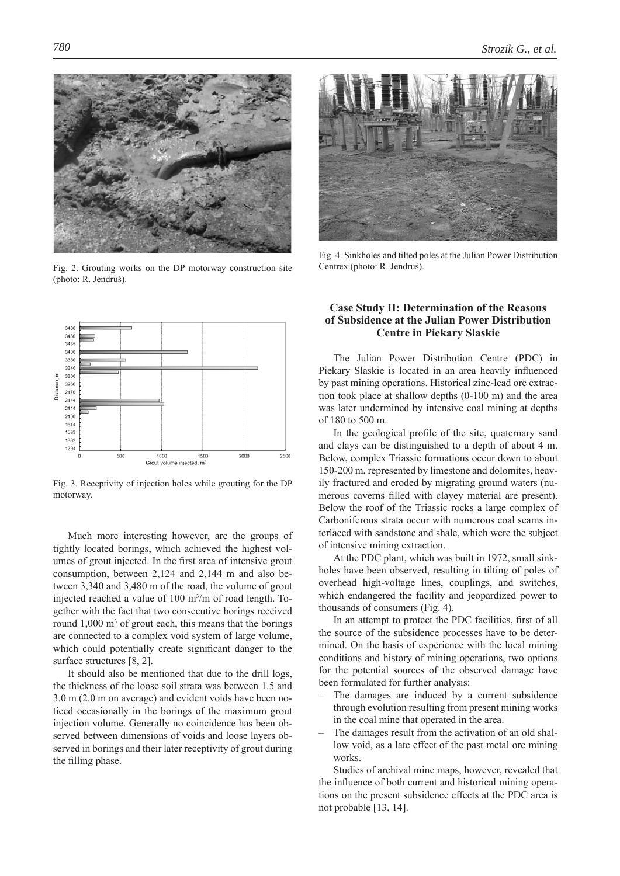

Fig. 2. Grouting works on the DP motorway construction site (photo: R. Jendruś).



Fig. 4. Sinkholes and tilted poles at the Julian Power Distribution Centrex (photo: R. Jendruś).



Fig. 3. Receptivity of injection holes while grouting for the DP motorway.

Much more interesting however, are the groups of tightly located borings, which achieved the highest volumes of grout injected. In the first area of intensive grout consumption, between 2,124 and 2,144 m and also between 3,340 and 3,480 m of the road, the volume of grout injected reached a value of 100 m3 /m of road length. Together with the fact that two consecutive borings received round  $1,000 \text{ m}^3$  of grout each, this means that the borings are connected to a complex void system of large volume, which could potentially create significant danger to the surface structures [8, 2].

It should also be mentioned that due to the drill logs, the thickness of the loose soil strata was between 1.5 and 3.0 m (2.0 m on average) and evident voids have been noticed occasionally in the borings of the maximum grout injection volume. Generally no coincidence has been observed between dimensions of voids and loose layers observed in borings and their later receptivity of grout during the filling phase.

## **Case Study II: Determination of the Reasons of Subsidence at the Julian Power Distribution Centre in Piekary Slaskie**

The Julian Power Distribution Centre (PDC) in Piekary Slaskie is located in an area heavily influenced by past mining operations. Historical zinc-lead ore extraction took place at shallow depths (0-100 m) and the area was later undermined by intensive coal mining at depths of 180 to 500 m.

In the geological profile of the site, quaternary sand and clays can be distinguished to a depth of about 4 m. Below, complex Triassic formations occur down to about 150-200 m, represented by limestone and dolomites, heavily fractured and eroded by migrating ground waters (numerous caverns filled with clayey material are present). Below the roof of the Triassic rocks a large complex of Carboniferous strata occur with numerous coal seams interlaced with sandstone and shale, which were the subject of intensive mining extraction.

At the PDC plant, which was built in 1972, small sinkholes have been observed, resulting in tilting of poles of overhead high-voltage lines, couplings, and switches, which endangered the facility and jeopardized power to thousands of consumers (Fig. 4).

In an attempt to protect the PDC facilities, first of all the source of the subsidence processes have to be determined. On the basis of experience with the local mining conditions and history of mining operations, two options for the potential sources of the observed damage have been formulated for further analysis:

- The damages are induced by a current subsidence through evolution resulting from present mining works in the coal mine that operated in the area.
- The damages result from the activation of an old shallow void, as a late effect of the past metal ore mining works.

Studies of archival mine maps, however, revealed that the influence of both current and historical mining operations on the present subsidence effects at the PDC area is not probable [13, 14].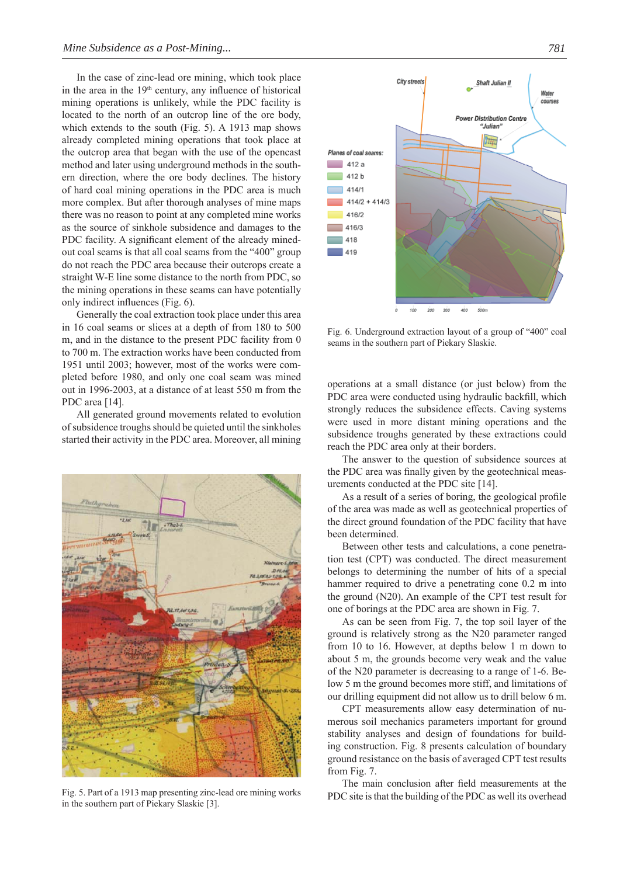In the case of zinc-lead ore mining, which took place in the area in the  $19<sup>th</sup>$  century, any influence of historical mining operations is unlikely, while the PDC facility is located to the north of an outcrop line of the ore body, which extends to the south (Fig. 5). A 1913 map shows already completed mining operations that took place at the outcrop area that began with the use of the opencast method and later using underground methods in the southern direction, where the ore body declines. The history of hard coal mining operations in the PDC area is much more complex. But after thorough analyses of mine maps there was no reason to point at any completed mine works as the source of sinkhole subsidence and damages to the PDC facility. A significant element of the already minedout coal seams is that all coal seams from the "400" group do not reach the PDC area because their outcrops create a straight W-E line some distance to the north from PDC, so the mining operations in these seams can have potentially only indirect influences  $(Fig. 6)$ .

Generally the coal extraction took place under this area in 16 coal seams or slices at a depth of from 180 to 500 m, and in the distance to the present PDC facility from 0 to 700 m. The extraction works have been conducted from 1951 until 2003; however, most of the works were completed before 1980, and only one coal seam was mined out in 1996-2003, at a distance of at least 550 m from the PDC area [14].

All generated ground movements related to evolution of subsidence troughs should be quieted until the sinkholes started their activity in the PDC area. Moreover, all mining



in the southern part of Piekary Slaskie [3].



Fig. 6. Underground extraction layout of a group of "400" coal seams in the southern part of Piekary Slaskie.

operations at a small distance (or just below) from the PDC area were conducted using hydraulic backfill, which strongly reduces the subsidence effects. Caving systems were used in more distant mining operations and the subsidence troughs generated by these extractions could reach the PDC area only at their borders.

The answer to the question of subsidence sources at the PDC area was finally given by the geotechnical measurements conducted at the PDC site [14].

As a result of a series of boring, the geological profile of the area was made as well as geotechnical properties of the direct ground foundation of the PDC facility that have been determined.

Between other tests and calculations, a cone penetration test (CPT) was conducted. The direct measurement belongs to determining the number of hits of a special hammer required to drive a penetrating cone 0.2 m into the ground (N20). An example of the CPT test result for one of borings at the PDC area are shown in Fig. 7.

As can be seen from Fig. 7, the top soil layer of the ground is relatively strong as the N20 parameter ranged from 10 to 16. However, at depths below 1 m down to about 5 m, the grounds become very weak and the value of the N20 parameter is decreasing to a range of 1-6. Below 5 m the ground becomes more stiff, and limitations of our drilling equipment did not allow us to drill below 6 m.

CPT measurements allow easy determination of numerous soil mechanics parameters important for ground stability analyses and design of foundations for building construction. Fig. 8 presents calculation of boundary ground resistance on the basis of averaged CPT test results from Fig. 7.

The main conclusion after field measurements at the PDC site is that the building of the PDC as well its overhead Fig. 5. Part of a 1913 map presenting zinc-lead ore mining works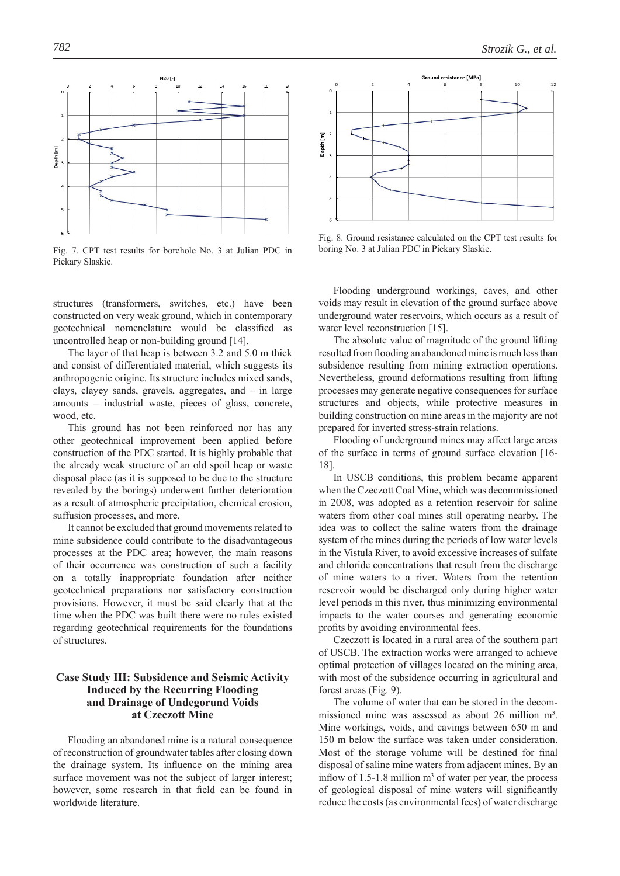

Fig. 7. CPT test results for borehole No. 3 at Julian PDC in Piekary Slaskie.

structures (transformers, switches, etc.) have been constructed on very weak ground, which in contemporary geotechnical nomenclature would be classified as uncontrolled heap or non-building ground [14].

The layer of that heap is between 3.2 and 5.0 m thick and consist of differentiated material, which suggests its anthropogenic origine. Its structure includes mixed sands, clays, clayey sands, gravels, aggregates, and – in large amounts – industrial waste, pieces of glass, concrete, wood, etc.

This ground has not been reinforced nor has any other geotechnical improvement been applied before construction of the PDC started. It is highly probable that the already weak structure of an old spoil heap or waste disposal place (as it is supposed to be due to the structure revealed by the borings) underwent further deterioration as a result of atmospheric precipitation, chemical erosion, suffusion processes, and more.

It cannot be excluded that ground movements related to mine subsidence could contribute to the disadvantageous processes at the PDC area; however, the main reasons of their occurrence was construction of such a facility on a totally inappropriate foundation after neither geotechnical preparations nor satisfactory construction provisions. However, it must be said clearly that at the time when the PDC was built there were no rules existed regarding geotechnical requirements for the foundations of structures.

# **Case Study III: Subsidence and Seismic Activity Induced by the Recurring Flooding and Drainage of Undegorund Voids at Czeczott Mine**

Flooding an abandoned mine is a natural consequence of reconstruction of groundwater tables after closing down the drainage system. Its influence on the mining area surface movement was not the subject of larger interest; however, some research in that field can be found in worldwide literature.

**Ground resistance [MPa]**  $10^{-1}$  $\epsilon$  $12$  $\epsilon$  $\overline{1}$ Depth [m]  $\overline{a}$ ś

Fig. 8. Ground resistance calculated on the CPT test results for boring No. 3 at Julian PDC in Piekary Slaskie.

Flooding underground workings, caves, and other voids may result in elevation of the ground surface above underground water reservoirs, which occurs as a result of water level reconstruction [15].

The absolute value of magnitude of the ground lifting resulted from flooding an abandoned mine is much less than subsidence resulting from mining extraction operations. Nevertheless, ground deformations resulting from lifting processes may generate negative consequences for surface structures and objects, while protective measures in building construction on mine areas in the majority are not prepared for inverted stress-strain relations.

Flooding of underground mines may affect large areas of the surface in terms of ground surface elevation [16- 18].

In USCB conditions, this problem became apparent when the Czeczott Coal Mine, which was decommissioned in 2008, was adopted as a retention reservoir for saline waters from other coal mines still operating nearby. The idea was to collect the saline waters from the drainage system of the mines during the periods of low water levels in the Vistula River, to avoid excessive increases of sulfate and chloride concentrations that result from the discharge of mine waters to a river. Waters from the retention reservoir would be discharged only during higher water level periods in this river, thus minimizing environmental impacts to the water courses and generating economic profits by avoiding environmental fees.

Czeczott is located in a rural area of the southern part of USCB. The extraction works were arranged to achieve optimal protection of villages located on the mining area, with most of the subsidence occurring in agricultural and forest areas (Fig. 9).

The volume of water that can be stored in the decommissioned mine was assessed as about 26 million m<sup>3</sup>. Mine workings, voids, and cavings between 650 m and 150 m below the surface was taken under consideration. Most of the storage volume will be destined for final disposal of saline mine waters from adjacent mines. By an inflow of  $1.5$ -1.8 million  $m<sup>3</sup>$  of water per year, the process of geological disposal of mine waters will significantly reduce the costs (as environmental fees) of water discharge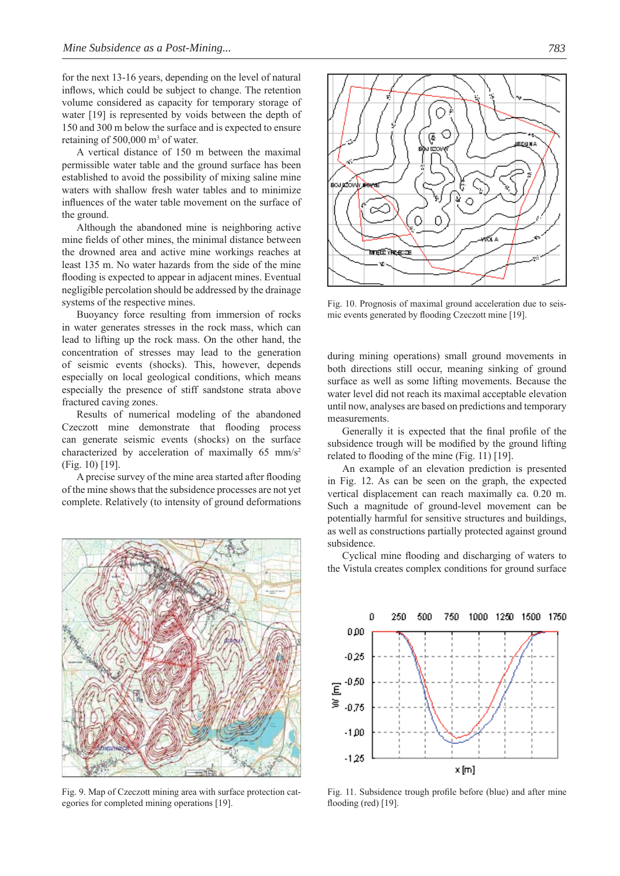for the next 13-16 years, depending on the level of natural inflows, which could be subject to change. The retention volume considered as capacity for temporary storage of water [19] is represented by voids between the depth of 150 and 300 m below the surface and is expected to ensure retaining of  $500,000$  m<sup>3</sup> of water.

A vertical distance of 150 m between the maximal permissible water table and the ground surface has been established to avoid the possibility of mixing saline mine waters with shallow fresh water tables and to minimize influences of the water table movement on the surface of the ground.

Although the abandoned mine is neighboring active mine fields of other mines, the minimal distance between the drowned area and active mine workings reaches at least 135 m. No water hazards from the side of the mine flooding is expected to appear in adjacent mines. Eventual negligible percolation should be addressed by the drainage systems of the respective mines.

Buoyancy force resulting from immersion of rocks in water generates stresses in the rock mass, which can lead to lifting up the rock mass. On the other hand, the concentration of stresses may lead to the generation of seismic events (shocks). This, however, depends especially on local geological conditions, which means especially the presence of stiff sandstone strata above fractured caving zones.

Results of numerical modeling of the abandoned Czeczott mine demonstrate that flooding process can generate seismic events (shocks) on the surface characterized by acceleration of maximally 65 mm/s<sup>2</sup> (Fig. 10) [19].

A precise survey of the mine area started after flooding of the mine shows that the subsidence processes are not yet complete. Relatively (to intensity of ground deformations



Fig. 9. Map of Czeczott mining area with surface protection categories for completed mining operations [19].



Fig. 10. Prognosis of maximal ground acceleration due to seismic events generated by flooding Czeczott mine [19].

during mining operations) small ground movements in both directions still occur, meaning sinking of ground surface as well as some lifting movements. Because the water level did not reach its maximal acceptable elevation until now, analyses are based on predictions and temporary measurements.

Generally it is expected that the final profile of the subsidence trough will be modified by the ground lifting related to flooding of the mine (Fig. 11)  $[19]$ .

An example of an elevation prediction is presented in Fig. 12. As can be seen on the graph, the expected vertical displacement can reach maximally ca. 0.20 m. Such a magnitude of ground-level movement can be potentially harmful for sensitive structures and buildings, as well as constructions partially protected against ground subsidence.

Cyclical mine flooding and discharging of waters to the Vistula creates complex conditions for ground surface



Fig. 11. Subsidence trough profile before (blue) and after mine flooding (red)  $[19]$ .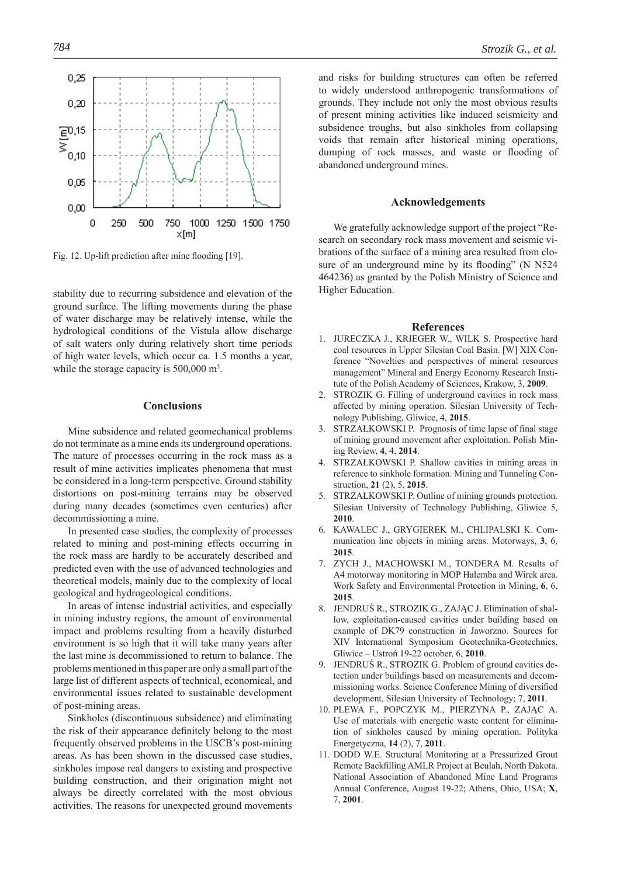

Fig. 12. Up-lift prediction after mine flooding [19].

stability due to recurring subsidence and elevation of the ground surface. The lifting movements during the phase of water discharge may be relatively intense, while the hydrological conditions of the Vistula allow discharge of salt waters only during relatively short time periods of high water levels, which occur ca. 1.5 months a year, while the storage capacity is 500,000 m<sup>3</sup>.

#### **Conclusions**

Mine subsidence and related geomechanical problems do not terminate as a mine ends its underground operations. The nature of processes occurring in the rock mass as a result of mine activities implicates phenomena that must be considered in a long-term perspective. Ground stability distortions on post-mining terrains may be observed during many decades (sometimes even centuries) after decommissioning a mine.

In presented case studies, the complexity of processes related to mining and post-mining effects occurring in the rock mass are hardly to be accurately described and predicted even with the use of advanced technologies and theoretical models, mainly due to the complexity of local geological and hydrogeological conditions.

In areas of intense industrial activities, and especially in mining industry regions, the amount of environmental impact and problems resulting from a heavily disturbed environment is so high that it will take many years after the last mine is decommissioned to return to balance. The problems mentioned in this paper are only a small part of the large list of different aspects of technical, economical, and environmental issues related to sustainable development of post-mining areas.

Sinkholes (discontinuous subsidence) and eliminating the risk of their appearance definitely belong to the most frequently observed problems in the USCB's post-mining areas. As has been shown in the discussed case studies, sinkholes impose real dangers to existing and prospective building construction, and their origination might not always be directly correlated with the most obvious activities. The reasons for unexpected ground movements

and risks for building structures can often be referred to widely understood anthropogenic transformations of grounds. They include not only the most obvious results of present mining activities like induced seismicity and subsidence troughs, but also sinkholes from collapsing voids that remain after historical mining operations, dumping of rock masses, and waste or flooding of abandoned underground mines.

#### **Acknowledgements**

We gratefully acknowledge support of the project "Research on secondary rock mass movement and seismic vibrations of the surface of a mining area resulted from closure of an underground mine by its flooding" (N N524) 464236) as granted by the Polish Ministry of Science and Higher Education.

#### **References**

- 1. JURECZKA J., KRIEGER W., WILK S. Prospective hard coal resources in Upper Silesian Coal Basin. [W] XIX Conference "Novelties and perspectives of mineral resources management" Mineral and Energy Economy Research Institute of the Polish Academy of Sciences, Krakow, 3, **2009**.
- 2. STROZIK G. Filling of underground cavities in rock mass affected by mining operation. Silesian University of Technology Publishing, Gliwice, 4, **2015**.
- STRZAŁKOWSKI P. Prognosis of time lapse of final stage of mining ground movement after exploitation. Polish Mining Review, **4**, 4, **2014**.
- 4. STRZAŁKOWSKI P. Shallow cavities in mining areas in reference to sinkhole formation. Mining and Tunneling Construction, **21** (2), 5, **2015**.
- STRZAŁKOWSKI P. Outline of mining grounds protection. Silesian University of Technology Publishing, Gliwice 5, **2010**.
- 6. KAWALEC J., GRYGIEREK M., CHLIPALSKI K. Communication line objects in mining areas. Motorways, **3**, 6, **2015**.
- 7. ZYCH J., MACHOWSKI M., TONDERA M. Results of A4 motorway monitoring in MOP Halemba and Wirek area. Work Safety and Environmental Protection in Mining, **6**, 6, **2015**.
- 8. JENDRUŚ R., STROZIK G., ZAJĄC J. Elimination of shallow, exploitation-caused cavities under building based on example of DK79 construction in Jaworzno. Sources for XIV International Symposium Geotechnika-Geotechnics, Gliwice – Ustroń 19-22 october, 6, **2010**.
- 9. JENDRUŚ R., STROZIK G. Problem of ground cavities detection under buildings based on measurements and decommissioning works. Science Conference Mining of diversified development, Silesian University of Technology; 7, **2011**.
- 10. PLEWA F., POPCZYK M., PIERZYNA P., ZAJĄC A. Use of materials with energetic waste content for elimination of sinkholes caused by mining operation. Polityka Energetyczna, **14** (2), 7, **2011**.
- 11. DODD W.E. Structural Monitoring at a Pressurized Grout Remote Backfilling AMLR Project at Beulah, North Dakota. National Association of Abandoned Mine Land Programs Annual Conference, August 19-22; Athens, Ohio, USA; **X**, 7, **2001**.